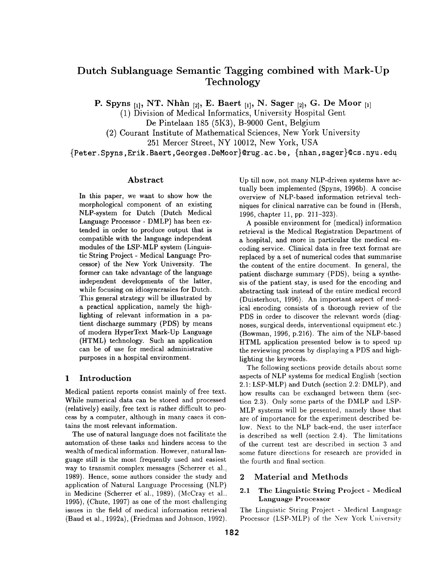# **Dutch Sublanguage Semantic Tagging combined with Mark-Up Technology**

P. Spyns  $_{[1]}$ , NT. Nhàn  $_{[2]}$ , E. Baert  $_{[1]}$ , N. Sager  $_{[2]}$ , G. De Moor  $_{[1]}$ 

(1) Division of Medical Informatics, University Hospital Gent

De Pintelaan 185 (5K3), B-9000 Gent, Belgium

(2) Courant Institute of Mathematical Sciences, New York University

251 Mercer Street, NY 10012, New York, USA

{Peter. Spyns, Erik. Baert, Georges. DeMoor}@rug. ac. be, {nhan, sager}@cs, nyu. **edu** 

# Abstract

In this paper, we want to show how the morphological component of an existing NLP-system for Dutch (Dutch Medical Language Processor - DMLP) has been extended in order to produce output that is compatible with the language independent modules of the LSP-MLP system (Linguistic String Project - Medical Language Processor) of the New York University. The former can take advantage of the language independent developments of the latter, while focusing on idiosyncrasies for Dutch. This general strategy will be illustrated by a practical application, namely the highlighting of relevant information in a patient discharge summary (PDS) by means of modern HyperText Mark-Up Language (HTML) technology. Such an application can be of use for medical administrative purposes in a hospital environment.

# **1 Introduction**

Medical patient reports consist mainly of free text. While numerical data can be stored and processed (relatively) easily, free text is rather difficult to process by a computer, although in many cases it contains the most relevant information.

The use of natural language does not facilitate the automation of. these tasks and hinders access to the wealth of medical information. However, natural language still is the most frequently used and easiest way to transmit complex messages (Scherrer et ah, 1989). Hence, some authors consider the study and application of Natural Language Processing (NLP) in Medicine (Scherrer et al., 1989), (McCray et al., 1995), (Chute, 1997) as one of the most challenging issues in the field of medical information retrieval (Baud et al., 1992a), (Friedman and Johnson, 1992). Up till now, not many NLP-driven systems have actually been implemented (Spyns, 1996b). A concise overview of NLP-based information retrieval techniques for clinical narrative can be found in (Hersh, 1996, chapter 11, pp. 211-323).

A possible environment for (medical) information retrieval is the Medical Registration Department of a hospital, and more in particular the medical encoding service. Clinical data in free text format are replaced by a set of numerical codes that summarise the content of the entire document. In general, the patient discharge summary (PDS), being a synthesis of the patient stay, is used for the encoding and abstracting task instead of the entire medical record (Duisterhout, 1996). An important aspect of medical encoding consists of a thorough review of the PDS in order to discover the relevant words (diagnoses, surgical deeds, interventional equipment etc.) (Bowman, 1996, p.216). The aim of the NLP-based HTML application presented below is to speed up the reviewing process by displaying a PDS and highlighting the keywords.

The following sections provide details about some aspects of NLP systems for medical English (section 2.1: LSP-MLP) and Dutch (section 2.2: DMLP), and how results can be exchanged between them (section 2.3). Only some parts of the DMLP and LSP-MLP systems will be presented, namely those that are of importance for the experiment described below. Next to the NLP back-end, the user interface is described as well (section 2.4). The limitations of the current test are described in section 3 and some future directions for research are provided in the fourth and final section.

# 2 Material and Methods

### 2.1 The Linguistic String Project - Medical Language Processor

The Linguistic String Project. - Medical Language Processor (LSP-MLP) of the New York University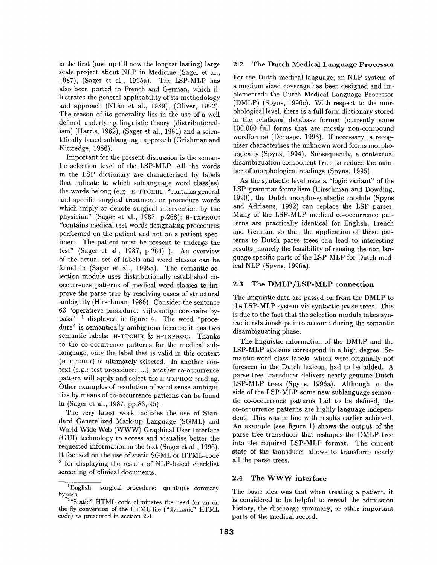is the first (and up till now the longest lasting) large scale project about NLP in Medicine (Sager et al., 1987), (Sager et al., 1995a). The LSP-MLP has also been ported to French and German, which illustrates the general applicability of its methodology and approach (Nhàn et al., 1989), (Oliver, 1992). The reason of its generality lies in the use of a well defined underlying linguistic theory (distributionalism) (Harris, 1962), (Sager et al., 1981) and a scientifically based sublanguage approach (Grishman and Kittredge, 1986).

Important for the present discussion is the semantic selection level of the LSP-MLP. All the words in the LSP dictionary are characterised by labels that indicate to which sublanguage word class(es) the words belong (e.g., H-TTCHIR: "contains general and specific surgical treatment or procedure words which imply or denote surgical intervention by the physician" (Sager et al., 1987, p.268); H-TXPROC: "contains medical test words designating procedures performed on the patient and not on a patient speciment. The patient must be present to undergo the test" (Sager et al., 1987, p.264) ). An overview of the actual set of labels and word classes can be found in (Sager et al., 1995a). The semantic selection module uses distributionally established cooccurrence patterns of medical word classes to improve the parse tree by resolving cases of structural ambiguity (Hirschman, 1986). Consider the sentence 63 "operatieve procedure: vijfvoudige coronaire bypass." 1 displayed in figure 4. The word "procedure" is semantically ambiguous because it has two semantic labels: H-TTCHIR & H-TXPROC. Thanks to the co-occurrence patterns for the medical sublanguage, only the label that is valid in this context (H-TTCHIR) is ultimately selected. In another context (e.g.: test procedure: ...), another co-occurrence pattern will apply and select the H-TXPROC reading. Other examples of resolution of word sense ambiguities by means of co-occurrence patterns can be found in (Sager et al., 1987, pp.83, 95).

The very latest work includes the use of Standard Generalized Mark-up Language (SGML) and World Wide Web (WWW) Graphical User Interface (GUI) technology to access and visualise better the requested information in the text (Sager et al., 1996). It focused on the use of static SGML or HTML-code 2 for displaying the results of NLP-based checklist screening of clinical documents.

#### 2.2 The **Dutch Medical Language Processor**

For the Dutch medical language, an NLP system of a medium sized coverage has been designed and implemented: the Dutch Medical Language Processor (DMLP) (Spyns, 1996c). With respect to the morphological level, there is a full form dictionary stored in the relational database format (currently some 100.000 full forms that are mostly non-compound wordforms) (Dehaspe, 1993). If necessary, a recogniser characterises the unknown word forms morphologically (Spyns, 1994). Subsequently, a contextual disambiguation component tries to reduce the number of morphological readings (Spyns, 1995).

As the syntactic level uses a "logic variant" of the LSP grammar formalism (Hirschman and Dowding, 1990), the Dutch morpho-syntactic module (Spyns and Adriaens, 1992) can replace the LSP parser. Many of the LSP-MLP medical co-occurrence patterns are practically identical for English, French and German, so that the application of these patterns to Dutch parse trees can lead to interesting results, namely the feasibility of reusing the non language specific parts of the LSP-MLP for Dutch medical NLP (Spyns, 1996a).

#### 2.3 The DMLP/LSP-MLP connection

The linguistic data are passed on from the DMLP to the LSP-MLP system via syntactic parse trees. This is due to the fact that the selection module takes syntactic relationships into account during the semantic disambiguating phase.

The linguistic information of the DMLP and the LSP-MLP systems correspond in a high degree. Semantic word class labels, which were originally not foreseen in the Dutch lexicon, had to be added. A parse tree transducer delivers nearly genuine Dutch LSP-MLP trees (Spyns, 1996a). Although on the side of the LSP-MLP some new sublanguage semantic co-occurrence patterns had to be defined, the co-occurrence patterns are highly language independent. This was in line with results earlier achieved. An example (see figure 1) shows the output of the parse tree transducer that reshapes the DMLP tree into the required LSP-MLP format. The current state of the transducer allows to transform nearly all the parse trees.

### 2.4 The WWW interface

The basic idea was that when treating a patient, it is considered to be helpful to reread the admission history, the discharge summary, or other important parts of the medical record.

<sup>&</sup>lt;sup>1</sup>English: surgical procedure: quintuple coronary bypass.

<sup>&</sup>lt;sup>2</sup> "Static" HTML code eliminates the need for an on the fly conversion of the HTML file ("dynamic" HTML code) as presented in section 2.4.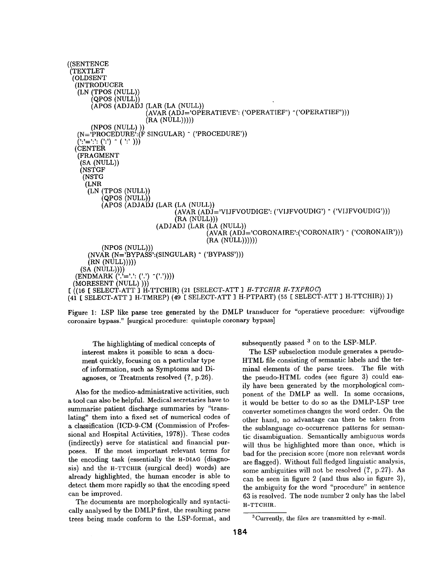

Figure 1: LSP like parse tree generated by the DMLP transducer for "operatieve procedure: vijfvoudige coronaire bypass." [surgical procedure: quintuple coronary bypass]

The highlighting of medical concepts of interest makes it possible to scan a document quickly, focusing on a particular type of information, such as Symptoms and Diagnoses, or Treatments resolved (?, p.26).

Also for the medico-administrative activities, such a tool can also be helpful. Medical secretaries have to summarise patient discharge summaries by "translating" them into a fixed set of numerical codes of a classification (ICD-9-CM (Commission of Professional and Hospital Activities, 1978)). These codes (indirectly) serve for statistical and financial purposes. If the most important relevant terms for the encoding task (essentially the H-DIAG (diagnosis) and the H-TTCHIR (surgical deed) words) are already highlighted, the human encoder is able to detect them more rapidly so that the encoding speed can be improved.

The documents are morphologically and syntactically analysed by the DMLP first, the resulting parse trees being made conform to the LSP-format, and

subsequently passed  $3$  on to the LSP-MLP.

The LSP subselection module generates a pseudo-HTML file consisting of semantic labels and the terminal elements of the parse trees. The file with the pseudo-HTML codes (see figure 3) could easily have been generated by the morphological component of the DMLP as well. In some occasions, it would be better to do so as the DMLP-LSP tree converter sometimes changes the word order. On the other hand, no advantage can then be taken from the sublanguage co-occurrence patterns for semantic disambiguation. Semantically ambiguous words will thus be highlighted more than once, which is bad for the precision score (more non relevant words are flagged). Without full fledged linguistic analysis, some ambiguities will not be resolved (?, p.27). As can be seen in figure 2 (and thus also in figure 3), the ambiguity for the word "procedure" in sentence 63 is resolved. The node number 2 only has the label H-TTCHIR.

<sup>3</sup>Currently, the files are transmitted by e-mail.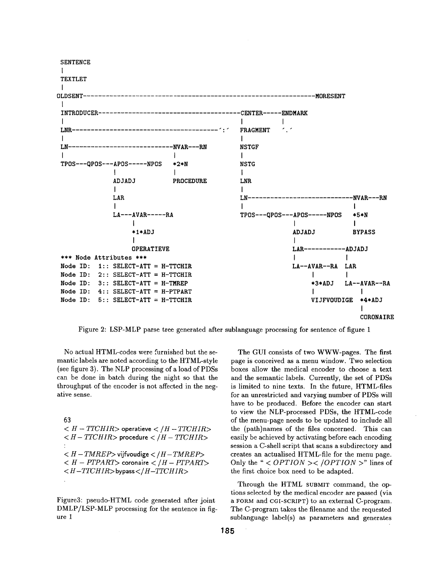

Figure 2: LSP-MLP parse tree generated after sublanguage processing for sentence of figure 1

No actual HTML-codes were furnished but the semantic labels are noted according to the HTML-style (see figure 3). The NLP processing of a load of PDSs can be done in batch during the night so that the throughput of the encoder is not affected in the negative sense.

#### 63

 $H - TTCHIR$  operatieve  $<$  /H - TTCHIR >  $\langle H - TTCHIR \rangle$  procedure  $\langle H - TTCHIR \rangle$  $\langle H-TMREF\rangle$  vijfvoudige  $\langle H-TMREF\rangle$  $< H - PTPART$  coronaire  $< H - PTPART$  $\langle H - TTCHIR \rangle$ bypass $\langle H - TTCHIR \rangle$ 

Figure3: pseudo-HTML code generated after joint DMLP/LSP-MLP processing for the sentence in figure 1

The GUI consists of two WWW-pages. The first page is conceived as a menu window. Two selection boxes allow the medical encoder to choose a text and the semantic labels. Currently, the set of PDSs is limited to nine texts. In the future, HTML-files for an unrestricted and varying number of PDSs will have to be produced. Before the encoder can start to view the NLP-processed PDSs, the HTML-code of the menu-page needs to be updated to include all the (path)names of the files concerned. This can easily be achieved by activating before each encoding session a C-shell script that scans a subdirectory and creates an actualised HTML-file for the menu page. Only the " <  $OPTION$  ><  $/OPTION$  >" lines of the first choice box need to be adapted.

Through the HTML SUBMIT command, the options selected by the medical encoder are passed (via a FORM and CGI-SCRIPT) to an external C-program. The C-program takes the filename and the requested sublanguage label(s) as parameters and generates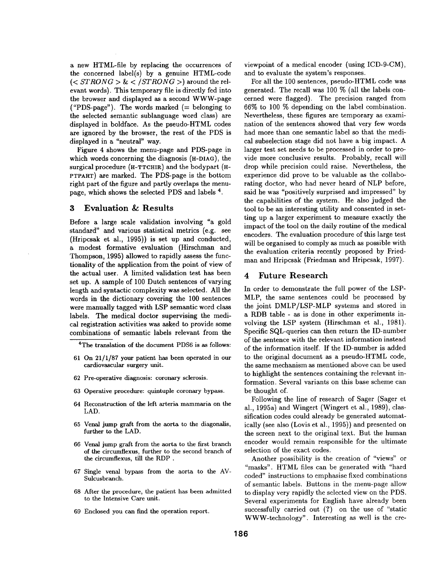a new HTML-file by replacing the occurrences of the concerned label(s) by a genuine HTML-code  $(*STRONG* > \< /STRONG$   $>$  around the relevant words). This temporary file is directly fed into the browser and displayed as a second WWW-page ("PDS-page"). The words marked  $(=$  belonging to the selected semantic sublanguage word class) are displayed in boldface. As the pseudo-HTML codes are ignored by the browser, the rest of the PDS is displayed in a "neutral" way.

Figure 4 shows the menu-page and PDS-page in which words concerning the diagnosis (H-DIAG), the surgical procedure  $(H-TTCHIR)$  and the bodypart  $(H-TTHIR)$ PTPART) are marked. The PDS-page is the bottom right part of the figure and partly overlaps the menupage, which shows the selected PDS and labels 4.

### **3 Evaluation & Results**

Before a large scale validation involving "a gold standard" and various statistical metrics (e.g. see (Hripcsak et al., 1995)) is set up and conducted, a modest formative evaluation (Hirschman and Thompson, 1995) allowed to rapidly assess the functionality of the application from the point of view of the actual user. A limited validation test has been set up. A sample of 100 Dutch sentences of varying length and syntactic complexity was selected. All the words in the dictionary covering the 100 sentences were manually tagged with LSP semantic word class labels. The medical doctor supervising the medical registration activities was asked to provide some combinations of semantic labels relevant from the

<sup>4</sup>The translation of the document PDS6 is as follows:

- 61 On 21/1/87 your patient has been operated in our cardiovascular surgery unit.
- 62 Pre-operative diagnosis: coronary sclerosis.
- 63 Operative procedure: quintuple coronary bypass.
- 64 Reconstruction of the left arteria mammaria on the LAD.
- 65 Venal jump graft from the aorta to the diagonalis, further to the LAD.
- 66 Venal jump graft from the aorta to the first branch of the circumflexus, further to the second branch of the circumflexus, till the RDP .
- 67 Single venal bypass from the aorta to the AV-Sulcusbranch.
- 68 After the procedure, the patient has been admitted to the Intensive Care unit.
- 69 Enclosed you can find the operation report.

viewpoint of a medical encoder (using ICD-9-CM), and to evaluate the system's responses.

For all the 100 sentences, pseudo-HTML code was generated. The recall was 100 % (all the labels concerned were flagged). The precision ranged from 66% to 100 % depending on the label combination. Nevertheless, these figures are temporary as examination of the sentences showed that very few words had more than one semantic label so that the medical subselection stage did not have a big impact. A larger test set needs to be processed in order to provide more conclusive results. Probably, recall will drop while precision could raise. Nevertheless, the experience did prove to be valuable as the collaborating doctor, who had never heard of NLP before, said he was "positively surprised and impressed" by the capabilities of the system. He also judged the tool to be an interesting utility and consented in setting up a larger experiment to measure exactly the impact of the tool on the daily routine of the medical encoders. The evaluation procedure of this large test will be organised to comply as much as possible with the evaluation criteria recently proposed by Friedman and Hripcsak (Friedman and Hripcsak, 1997).

### 4 Future Research

In order to demonstrate the full power of the LSP-MLP, the same sentences could be processed by the joint DMLP/LSP-MLP systems and stored in a RDB table - as is done in other experiments involving the LSP system (Hirschman et al., 1981). Specific SQL-queries can then return the ID-number of the sentence with the relevant information instead of the information itself. If the ID-number is added to the original document as a pseudo-HTML code, the same mechanism as mentioned above can be used to highlight the sentences containing the relevant information. Several variants on this base scheme can be thought of.

Following the line of research of Sager (Sager et al., 1995a) and Wingert (Wingert et al., 1989), classification codes could already be generated automatically (see also (Lovis et al., 1995)) and presented on the screen next to the original text. But the human encoder would remain responsible for the ultimate selection of the exact codes.

Another possibility is the creation of "views" or "masks". HTML files can be generated with "hard coded" instructions to emphasise fixed combinations of semantic labels. Buttons in the menu-page allow to display very rapidly the selected view on the PDS. Several experiments for English have already been successfully carried out (?) on the use of "static WWW-technology". Interesting as well is the cre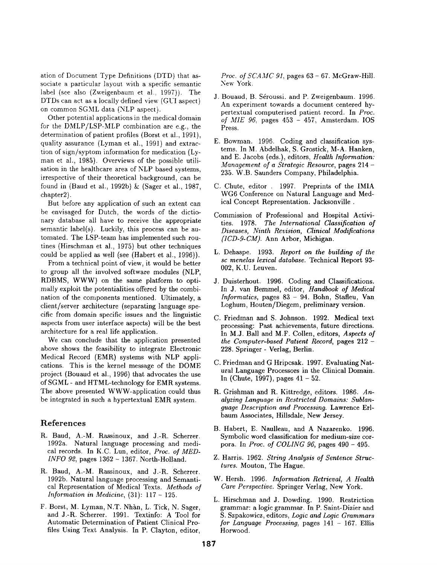ation of Document Type Definitions (DTD) that associate a particular layout with a specific semantic label (see also (Zweigenbaum et al., 1997)). The DTDs can act as a locally defined view (GUI aspect) on common SGML data (NLP aspect).

Other potential applications in the medical domain for the *DMLP/LSP-MLP* combination are e.g., the determination of patient profiles (Borst et al., 1991), quality assurance (Lyman et al., 1991) and extraction of sign/syptom information for medication (Lyman et al., 1985). Overviews of the possible utilisation in the healthcare area of NLP based systems, irrespective of their theoretical background, can be found in (Baud et al., 1992b) & (Sager et al., 1987, chapter2).

But before any application of such an extent can be envisaged for Dutch, the words of the dictionary database all have to receive the appropriate semantic label(s). Luckily, this process can be automated. The LSP-team has implemented such routines (Hirschman et al., 1975) but other techniques could be applied as well (see (Habert et al., 1996)).

From a technical point of view, it would be better to group all the involved software modules (NLP, RDBMS, WWW) on the same platform to optimally exploit the potentialities offered by the combination of the components mentioned. Ultimately, a client/server architecture (separating language specific from domain specific issues and the linguistic aspects from user interface aspects) will be the best architecture for a real life application.

We can conclude that the application presented above shows the feasibility to integrate Electronic Medical Record (EMR) systems with NLP applications. This is the kernel message of the DOME project (Bouaud et al., 1996) that advocates the use of SGML **-** and HTML-technology for EMR systems. The above presented WWW-application could thus be integrated in such a hypertextual EMR system.

## **References**

- R. Baud, A.-M. Rassinoux, and J.-R. Scherrer. 1992a. Natural language processing and medical records. In K.C. Lun, editor, *Proc. of MED-INFO* 92, pages 1362 - 1367. North-Holland.
- R. Baud, A.-M. Rassinoux, and J.-R. Scherrer. 1992b. Natural language processing and Semantical Representation of Medical Texts. *Methods of Information in Medicine,* (31): 117- 125.
- F. Borst, M. Lyman, N.T. Nhàn, L. Tick, N. Sager, and J.-R. Scherrer. 1991. Textinfo: A Tool for Automatic Determination of Patient Clinical Profiles Using Text Analysis. In P. Clayton, editor,

*Proc. of SCAMC 91,* pages 63 - 67. McGraw-Hill. New York.

- J. Bouaud, B. Séroussi. and P. Zweigenbaum. 1996. An experiment towards a document centered hypertextual computerised patient record. In *Proc. of MIE 96,* pages 453 - 457, Amsterdam. IOS Press.
- E. Bowman. 1996. Coding and classification systems. In M. Abdelhak, S. Grostick, M-A. Hanken, and E. Jacobs (eds.), editors, *Health Information: Management of a Strategic Resource,* pages 214 - 235. W.B. Saunders Company, Philadelphia.
- C. Chute, editor . 1997. Preprints of the IMIA WG6 Conference on Natural Language and Medical Concept Representation. Jacksonville.
- Commission of Professional and Hospital Activities. 1978. *The International Classification of Diseases, Ninth Revision, Clinical Modifications (1CD-9-CM}.* Ann Arbor, Michigan.
- L. Dehaspe. 1993. *Report on the building of the sc menelas lexical database.* Technical Report 93- 002, K.U. Leuven.
- J. Duisterhout. 1996. Coding and Classifications. In J. van Bemmel, editor, *Handbook of Medical Informatics,* pages 83 - 94. Bohn, Stafleu, Van Loghum, Houten/Diegem, preliminary version.
- C. Friedman and S. Johnson. 1992. Medical text processing: Past achievements, future directions. In M.J. Ball and M.F. Collen, editors, *Aspects of the Computer-based Patient Record,* pages 212 - 228. Springer - Verlag, Berlin.
- C. Friedman and G Hripcsak. 1997. Evaluating Natural Language Processors in the Clinical Domain. In (Chute, 1997), pages  $41 - 52$ .
- R. Grishman and R. Kittredge, editors. 1986. *Analyzing Language in Restricted Domains: Sublanguage Description and Processing.* Lawrence Erlbaum Associates, Hillsdale, New Jersey.
- B. Habert, E. Naulleau, and A Nazarenko. 1996. Symbolic word classification for medium-size corpora. In *Proc. of COLING 96,* pages 490 - 495.
- Z. Harris. 1962. *String Analysis of Sentence Structures.* Mouton, The Hague.
- W. Hersh. 1996. *Information Retrieval, A Health Care Perspective.* Springer Verlag, New York.
- L. Hirschman and J. Dowding. 1990. Restriction grammar: a logic grammar. In P. Saint-Dizier and S. Szpakowiez, editors, *Logic and Logic Grammars for Language Processing,* pages 141 - 167. Ellis Horwood.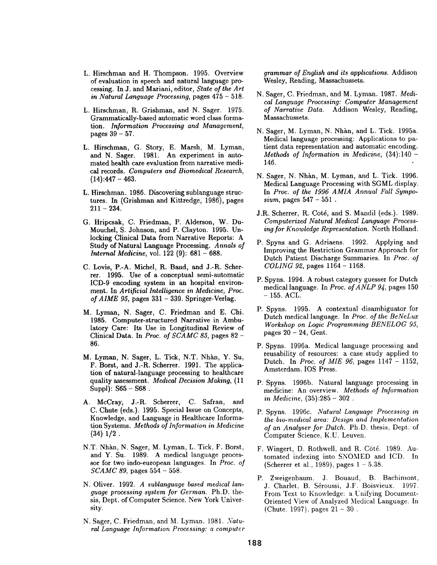- L. Hirschman and H. Thompson. 1995. Overview of evaluation in speech and natural language processing. In J. and Mariani, editor, *State of the Art in Natural Language Processing,* pages 475 - 518.
- L. Hirschman, R. Grishman, and N. Sager. 1975. Grammatically-based automatic word class formation. *Information Processing and Management,*  pages 39 - 57.
- L. Hirschman, G. Story, E. Marsh, M. Lyman, and N. Sager. 1981. An experiment in automated health care evaluation from narrative medical records. *Computers and Biomedical Research,*   $(14):447 - 463.$
- L. Hirschman. 1986. Discovering sublanguage structures. In (Grishman and Kittredge, 1986), pages  $211 - 234.$
- G. Hripcsak, C. Friedman, P. Alderson, W. Du-Mouchel, S. Johnson, and P. Clayton. 1995. Unlocking Clinical Data from Narrative Reports: A Study of Natural Language Processing. *Annals of Internal Medicine,* vol. 122 (9): 681 - 688.
- C. Lovis, P.-A. Michel, R. Baud, and J.-R. Scherrer. 1995. Use of a conceptual semi-automatic ICD-9 encoding system in an hospital environment. In *Artificial Intelligence in Medicine, Proc. of AIME 95,* pages 331 - 339. Springer-Verlag.
- M. Lyman, N. Sager, C. Friedman and E. Chi. 1985. Computer-structured Narrative in Ambulatory Care: Its Use in Longitudinal Review of Clinical Data. In *Proc. of SCAMC 85,* pages 82 - 86.
- M. Lyman, N. Sager, L. Tick, N.T. Nhàn, Y. Su, F. Borst, and J.-R. Scherrer. 1991. The application of natural-language processing to healthcare quality assessment. *Medical Decision Making,* (11  $Supp1$ :  $S65 - S68$ .
- A. McCray, J.-R. Scherrer, C. Safran, and C. Chute (eds.). 1995. Special Issue on Concepts, Knowledge, and Language in Healthcare Information Systems. *Methods of Information in Medicine*   $(34)$   $1/2$ .
- N.T. Nhàn, N. Sager, M. Lyman, L. Tick, F. Borst, and Y. Su. 1989. A medical language processor for two indo-european languages. In *Proc. of SCAMC 89,* pages 554 - 558.
- N. Oliver. 1992. *A sublanguage based medical language processing system for German.* Ph.D. thesis, Dept. of Computer Science. New York University.
- N. Sager, C. Friedman, and M. Lyman. 1981. *Natural Language Information Processing: a computer*

*grammar of English and its applications.* Addison Wesley, Reading, Massachussets.

- N. Sager, C. Friedman, and M. Lyman. 1987. *Medical Language Processing: Computer Management of Narrative Data.* Addison Wesley, Reading, Massachussets.
- N. Sager, M. Lyman, N. Nhàn, and L. Tick. 1995a. Medical language processing: Applications to patient data representation and automatic encoding. *Methods of Information in Medicine,* (34):140 - 146.
- N. Sager, N. Nhàn, M. Lyman, and L. Tick. 1996. Medical Language Processing with SGML display. In *Proc. of the 1996 AMIA Annual Fall Symposium,* pages 547 - 551 .
- J.R. Scherrer, R. Coté, and S. Mandil (eds.). 1989. *Computerized Natural Medical Language Processing for Knowledge Representation.* North Holland.
- P. Spyns and G. Adriaens. 1992. Applying and Improving the Restriction Grammar Approach for Dutch Patient Discharge Summaries. In *Proe. of COLING 92,* pages 1164 - 1168.
- P. Spyns. 1994. A robust category guesser for Dutch medical language. In *Proc. of ANLP 94,* pages 150  $- 155.$  ACL.
- P. Spyns. 1995. A contextual disambiguator for Dutch medical language. In *Proc. of the BeNeLux Workshop on Logic Programming BENELOG 95,*  pages 20 - 24, Gent.
- P. Spyns. 1996a. Medical language processing and reusability of resources: a case study applied to Dutch. In *Proc. of MIE 96,* pages 1147 - 1152, Amsterdam. IOS Press.
- P. Spyns. 1996b. Natural language processing in medicine: An overview. *Methods of Information in Medicine,* (35):285- 302 .
- P. Spyns. 1996c. *Natural Language Processing in the bio-medical area: Design and Implementation of an Analyser for Dutch.* Ph.D. thesis: Dept. of Computer Science, K.U. Leuven.
- F. Wingert, D. Rothwell, and R. Cóté. 1989. Automated indexing into SNOMED and ICD. In (Scherrer et al., 1989), pages  $1 - 5.38$ .
- P. Zweigenbaum, J. Bouaud, B. Baehimont, J. Charlet, B. Séroussi, J.F. Boisvieux. 1997. From Text to Knowledge: a Unifying Document-Oriented View of Analyzed Medical Language. In (Chute. 1997). pages  $21 - 30$ .